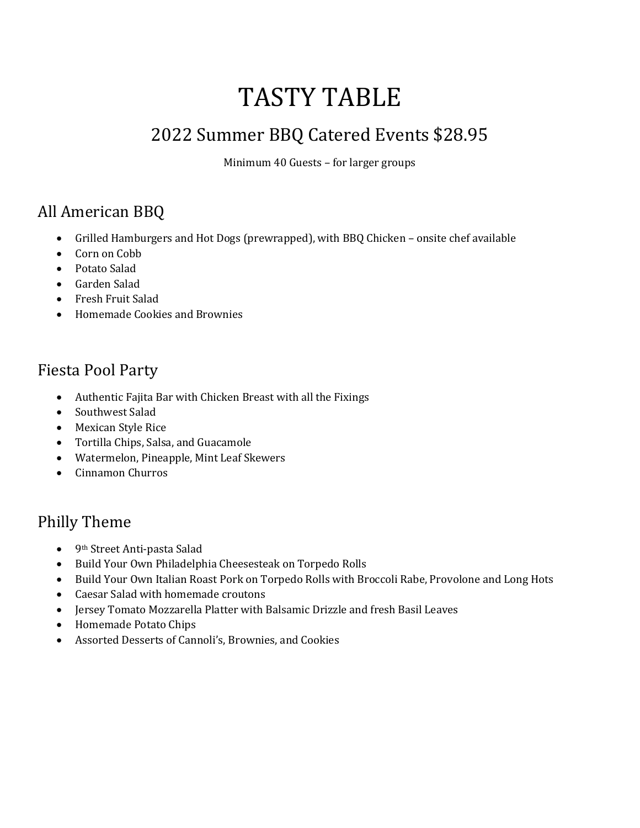# TASTY TABLE

# 2022 Summer BBQ Catered Events \$28.95

Minimum 40 Guests – for larger groups

### All American BBQ

- Grilled Hamburgers and Hot Dogs (prewrapped), with BBQ Chicken onsite chef available
- Corn on Cobb
- Potato Salad
- Garden Salad
- Fresh Fruit Salad
- Homemade Cookies and Brownies

#### Fiesta Pool Party

- Authentic Fajita Bar with Chicken Breast with all the Fixings
- Southwest Salad
- Mexican Style Rice
- Tortilla Chips, Salsa, and Guacamole
- Watermelon, Pineapple, Mint Leaf Skewers
- Cinnamon Churros

#### Philly Theme

- 9th Street Anti-pasta Salad
- Build Your Own Philadelphia Cheesesteak on Torpedo Rolls
- Build Your Own Italian Roast Pork on Torpedo Rolls with Broccoli Rabe, Provolone and Long Hots
- Caesar Salad with homemade croutons
- Jersey Tomato Mozzarella Platter with Balsamic Drizzle and fresh Basil Leaves
- Homemade Potato Chips
- Assorted Desserts of Cannoli's, Brownies, and Cookies